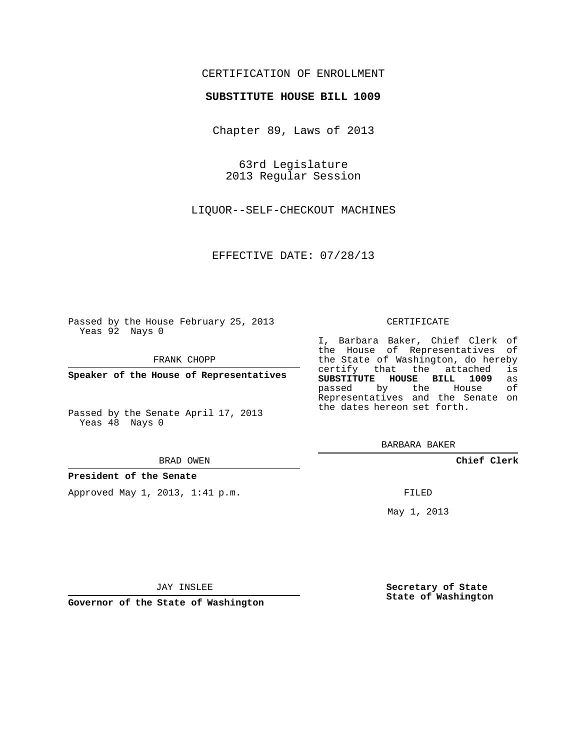## CERTIFICATION OF ENROLLMENT

### **SUBSTITUTE HOUSE BILL 1009**

Chapter 89, Laws of 2013

63rd Legislature 2013 Regular Session

LIQUOR--SELF-CHECKOUT MACHINES

EFFECTIVE DATE: 07/28/13

Passed by the House February 25, 2013 Yeas 92 Nays 0

FRANK CHOPP

**Speaker of the House of Representatives**

Passed by the Senate April 17, 2013 Yeas 48 Nays 0

#### BRAD OWEN

#### **President of the Senate**

Approved May 1, 2013, 1:41 p.m.

#### CERTIFICATE

I, Barbara Baker, Chief Clerk of the House of Representatives of the State of Washington, do hereby<br>certify that the attached is certify that the attached is<br>**SUBSTITUTE HOUSE BILL 1009** as **SUBSTITUTE HOUSE BILL 1009** as passed by the House Representatives and the Senate on the dates hereon set forth.

BARBARA BAKER

**Chief Clerk**

FILED

May 1, 2013

**Secretary of State State of Washington**

JAY INSLEE

**Governor of the State of Washington**